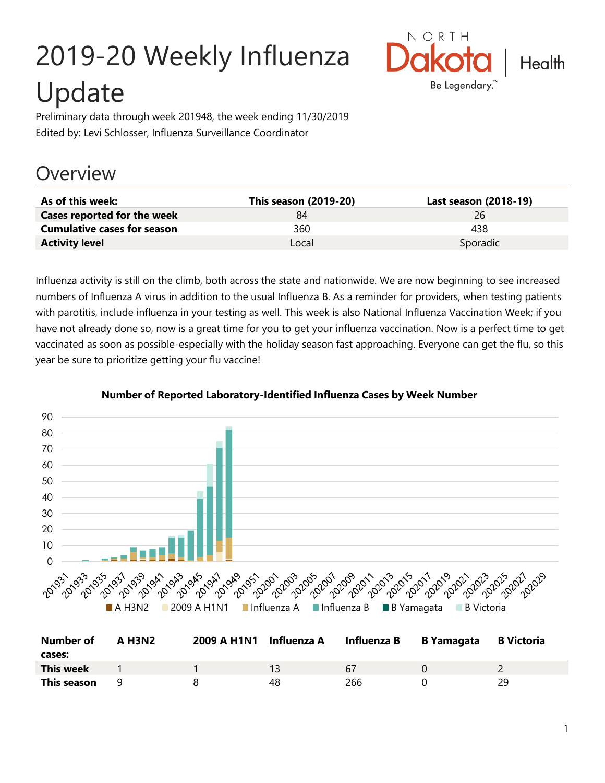# 2019-20 Weekly Influenza Update



Preliminary data through week 201948, the week ending 11/30/2019 Edited by: Levi Schlosser, Influenza Surveillance Coordinator

## **Overview**

| As of this week:                   | This season (2019-20) | Last season (2018-19) |
|------------------------------------|-----------------------|-----------------------|
| Cases reported for the week        | 84                    | 26                    |
| <b>Cumulative cases for season</b> | 360                   | 438                   |
| <b>Activity level</b>              | Local                 | Sporadic              |

Influenza activity is still on the climb, both across the state and nationwide. We are now beginning to see increased numbers of Influenza A virus in addition to the usual Influenza B. As a reminder for providers, when testing patients with parotitis, include influenza in your testing as well. This week is also National Influenza Vaccination Week; if you have not already done so, now is a great time for you to get your influenza vaccination. Now is a perfect time to get vaccinated as soon as possible-especially with the holiday season fast approaching. Everyone can get the flu, so this year be sure to prioritize getting your flu vaccine!



#### **Number of Reported Laboratory-Identified Influenza Cases by Week Number**

| <b>Number of</b><br>cases: | A H3N2 | 2009 A H1N1 Influenza A |    | Influenza B | B Yamagata | <b>B</b> Victoria |
|----------------------------|--------|-------------------------|----|-------------|------------|-------------------|
| This week                  |        |                         |    | 67          |            |                   |
| This season                |        |                         | 48 | 266         |            | 29                |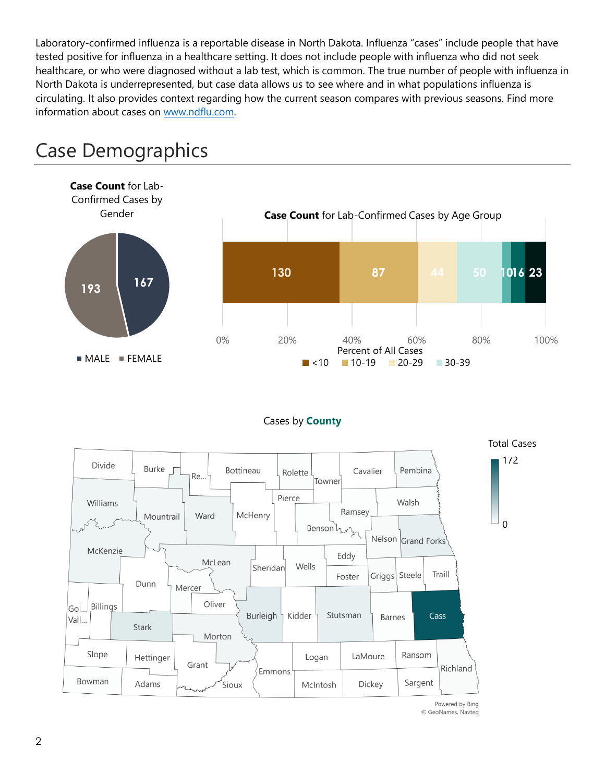Laboratory-confirmed influenza is a reportable disease in North Dakota. Influenza "cases" include people that have tested positive for influenza in a healthcare setting. It does not include people with influenza who did not seek healthcare, or who were diagnosed without a lab test, which is common. The true number of people with influenza in North Dakota is underrepresented, but case data allows us to see where and in what populations influenza is circulating. It also provides context regarding how the current season compares with previous seasons. Find more information about cases on [www.ndflu.com.](file://///nd.gov/doh/DOH-DATA/MSS/DC/PROGRAM/IMMUNE/Immunize/Influenza/Inf18-19/Surveillance/Weekly%20Summaries/www.ndflu.com)



## Case Demographics

#### Cases by **County**



© GeoNames, Navteq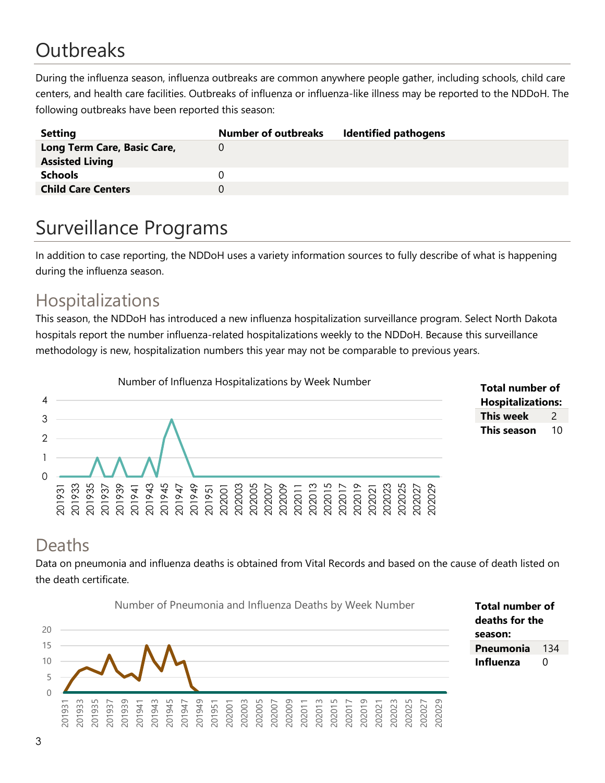# **Outbreaks**

During the influenza season, influenza outbreaks are common anywhere people gather, including schools, child care centers, and health care facilities. Outbreaks of influenza or influenza-like illness may be reported to the NDDoH. The following outbreaks have been reported this season:

| <b>Setting</b>              | <b>Number of outbreaks</b> | <b>Identified pathogens</b> |
|-----------------------------|----------------------------|-----------------------------|
| Long Term Care, Basic Care, |                            |                             |
| <b>Assisted Living</b>      |                            |                             |
| <b>Schools</b>              |                            |                             |
| <b>Child Care Centers</b>   |                            |                             |
|                             |                            |                             |

## Surveillance Programs

In addition to case reporting, the NDDoH uses a variety information sources to fully describe of what is happening during the influenza season.

#### Hospitalizations

This season, the NDDoH has introduced a new influenza hospitalization surveillance program. Select North Dakota hospitals report the number influenza-related hospitalizations weekly to the NDDoH. Because this surveillance methodology is new, hospitalization numbers this year may not be comparable to previous years.





#### Deaths

Data on pneumonia and influenza deaths is obtained from Vital Records and based on the cause of death listed on the death certificate.



**Total number of deaths for the season: Pneumonia** 134 **Influenza** 0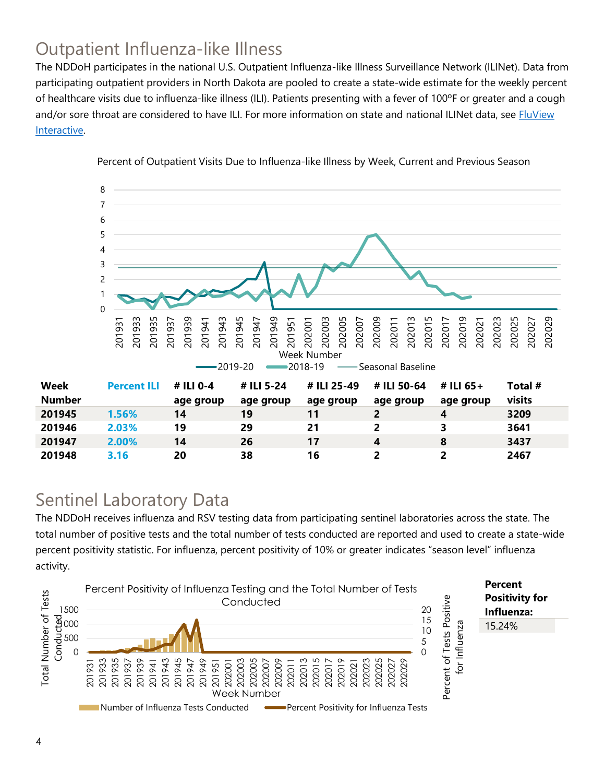## Outpatient Influenza-like Illness

The NDDoH participates in the national U.S. Outpatient Influenza-like Illness Surveillance Network (ILINet). Data from participating outpatient providers in North Dakota are pooled to create a state-wide estimate for the weekly percent of healthcare visits due to influenza-like illness (ILI). Patients presenting with a fever of 100ºF or greater and a cough and/or sore throat are considered to have ILI. For more information on state and national ILINet data, see **FluView** [Interactive.](https://gis.cdc.gov/grasp/fluview/fluportaldashboard.html)



Percent of Outpatient Visits Due to Influenza-like Illness by Week, Current and Previous Season

#### Sentinel Laboratory Data

The NDDoH receives influenza and RSV testing data from participating sentinel laboratories across the state. The total number of positive tests and the total number of tests conducted are reported and used to create a state-wide percent positivity statistic. For influenza, percent positivity of 10% or greater indicates "season level" influenza activity.

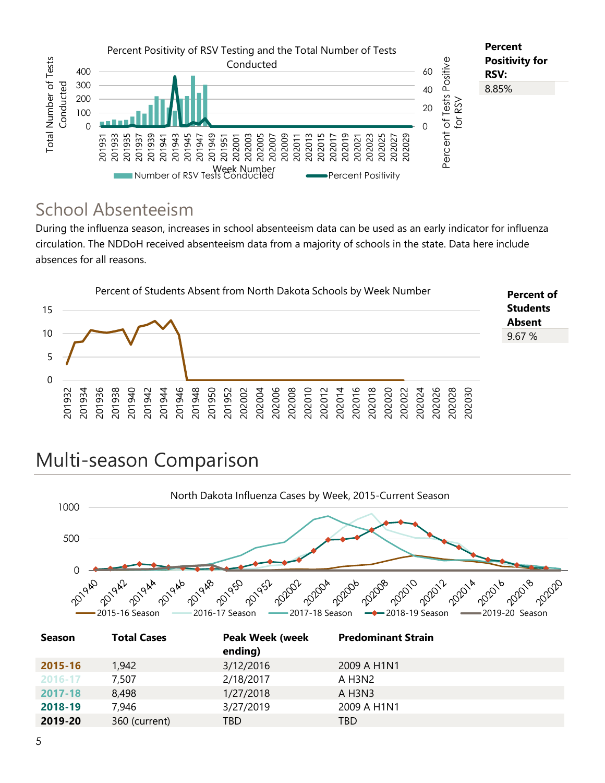

#### School Absenteeism

During the influenza season, increases in school absenteeism data can be used as an early indicator for influenza circulation. The NDDoH received absenteeism data from a majority of schools in the state. Data here include absences for all reasons.



## Multi-season Comparison